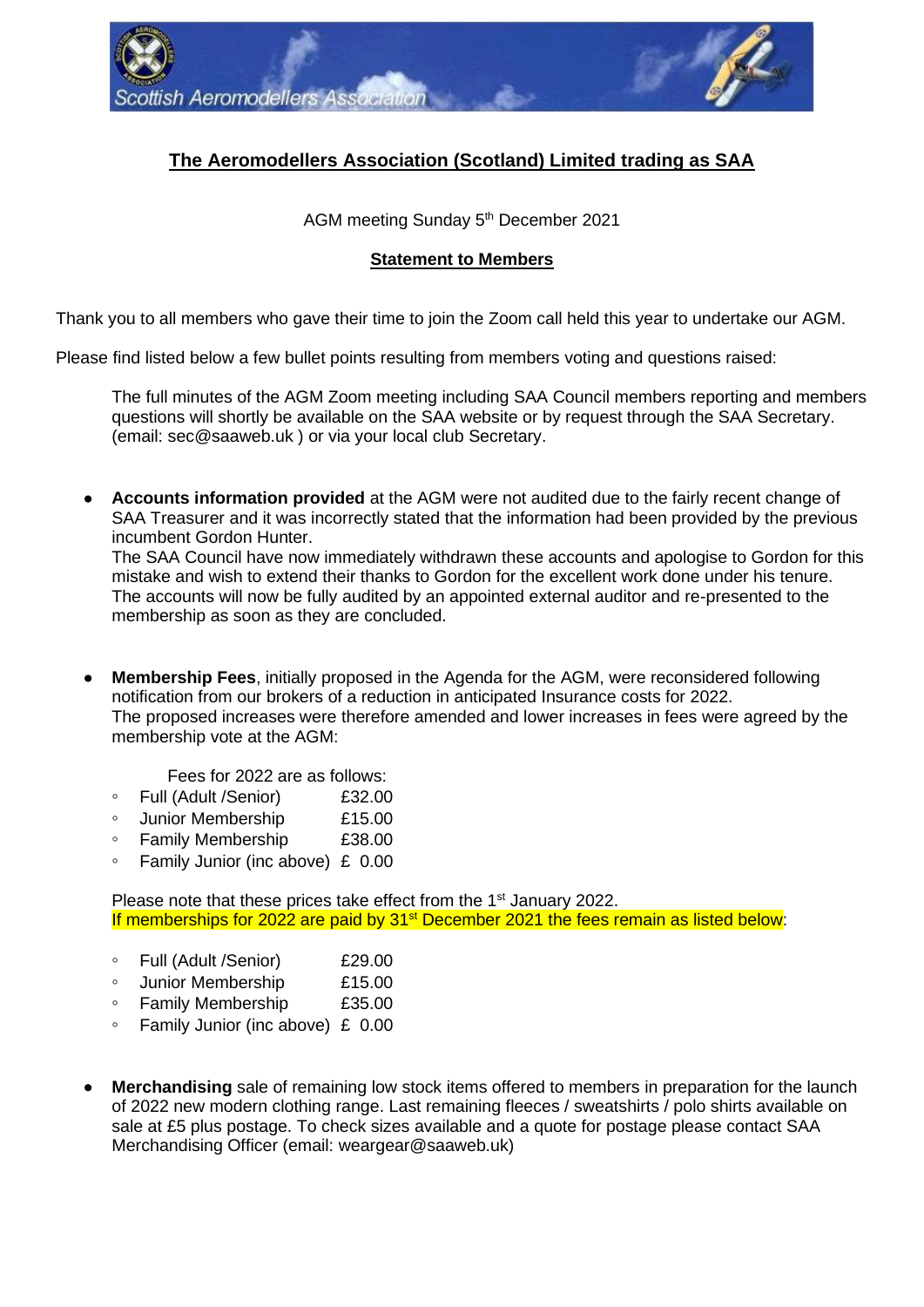

## **The Aeromodellers Association (Scotland) Limited trading as SAA**

AGM meeting Sunday 5<sup>th</sup> December 2021

## **Statement to Members**

Thank you to all members who gave their time to join the Zoom call held this year to undertake our AGM.

Please find listed below a few bullet points resulting from members voting and questions raised:

The full minutes of the AGM Zoom meeting including SAA Council members reporting and members questions will shortly be available on the SAA website or by request through the SAA Secretary. (email: [sec@saaweb.uk](mailto:sec@SAAweb.uk) ) or via your local club Secretary.

• **Accounts information provided** at the AGM were not audited due to the fairly recent change of SAA Treasurer and it was incorrectly stated that the information had been provided by the previous incumbent Gordon Hunter.

The SAA Council have now immediately withdrawn these accounts and apologise to Gordon for this mistake and wish to extend their thanks to Gordon for the excellent work done under his tenure. The accounts will now be fully audited by an appointed external auditor and re-presented to the membership as soon as they are concluded.

- **Membership Fees**, initially proposed in the Agenda for the AGM, were reconsidered following notification from our brokers of a reduction in anticipated Insurance costs for 2022. The proposed increases were therefore amended and lower increases in fees were agreed by the membership vote at the AGM:
	- Fees for 2022 are as follows:
	- **◦** Full (Adult /Senior) £32.00
	- **◦** Junior Membership £15.00
	- **◦** Family Membership £38.00
	- **◦** Family Junior (inc above) £ 0.00

Please note that these prices take effect from the 1<sup>st</sup> January 2022. If memberships for 2022 are paid by 31<sup>st</sup> December 2021 the fees remain as listed below:

- **◦** Full (Adult /Senior) £29.00
- **◦** Junior Membership £15.00
- **◦** Family Membership £35.00
- **◦** Family Junior (inc above) £ 0.00
- **Merchandising** sale of remaining low stock items offered to members in preparation for the launch of 2022 new modern clothing range. Last remaining fleeces / sweatshirts / polo shirts available on sale at £5 plus postage. To check sizes available and a quote for postage please contact SAA Merchandising Officer (email: weargear@saaweb.uk)